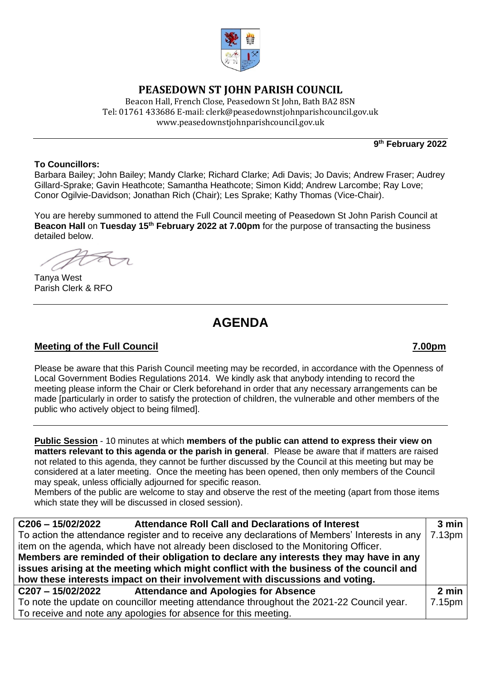

# **PEASEDOWN ST JOHN PARISH COUNCIL**

Beacon Hall, French Close, Peasedown St John, Bath BA2 8SN Tel: 01761 433686 E-mail: clerk@peasedownstjohnparishcouncil.gov.uk [www.peasedownstjohnparishcouncil.gov.uk](http://www.peasedownstjohnparishcouncil.gov.uk/)

**9 th February 2022**

### **To Councillors:**

Barbara Bailey; John Bailey; Mandy Clarke; Richard Clarke; Adi Davis; Jo Davis; Andrew Fraser; Audrey Gillard-Sprake; Gavin Heathcote; Samantha Heathcote; Simon Kidd; Andrew Larcombe; Ray Love; Conor Ogilvie-Davidson; Jonathan Rich (Chair); Les Sprake; Kathy Thomas (Vice-Chair).

You are hereby summoned to attend the Full Council meeting of Peasedown St John Parish Council at **Beacon Hall** on **Tuesday 15th February 2022 at 7.00pm** for the purpose of transacting the business detailed below.

Tanya West Parish Clerk & RFO

# **AGENDA**

## **Meeting of the Full Council 7.00pm**

Please be aware that this Parish Council meeting may be recorded, in accordance with the Openness of Local Government Bodies Regulations 2014. We kindly ask that anybody intending to record the meeting please inform the Chair or Clerk beforehand in order that any necessary arrangements can be made [particularly in order to satisfy the protection of children, the vulnerable and other members of the public who actively object to being filmed].

**Public Session** - 10 minutes at which **members of the public can attend to express their view on matters relevant to this agenda or the parish in general**. Please be aware that if matters are raised not related to this agenda, they cannot be further discussed by the Council at this meeting but may be considered at a later meeting. Once the meeting has been opened, then only members of the Council may speak, unless officially adjourned for specific reason.

Members of the public are welcome to stay and observe the rest of the meeting (apart from those items which state they will be discussed in closed session).

| <b>Attendance Roll Call and Declarations of Interest</b><br>$C206 - 15/02/2022$                | 3 min  |
|------------------------------------------------------------------------------------------------|--------|
| To action the attendance register and to receive any declarations of Members' Interests in any | 7.13pm |
| item on the agenda, which have not already been disclosed to the Monitoring Officer.           |        |
| Members are reminded of their obligation to declare any interests they may have in any         |        |
| issues arising at the meeting which might conflict with the business of the council and        |        |
| how these interests impact on their involvement with discussions and voting.                   |        |
| <b>Attendance and Apologies for Absence</b><br>C207-15/02/2022                                 | 2 min  |
| To note the update on councillor meeting attendance throughout the 2021-22 Council year.       | 7.15pm |
| To receive and note any apologies for absence for this meeting.                                |        |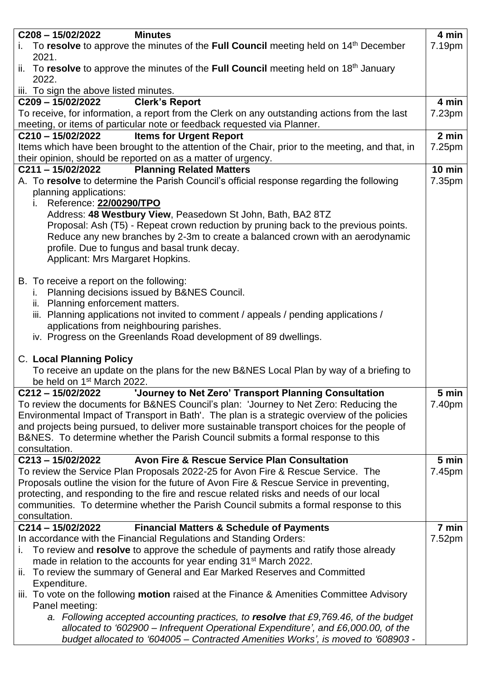| $C208 - 15/02/2022$<br><b>Minutes</b>                                                                                                                                                                                                                                                                                                                                                                                                                                | 4 min           |
|----------------------------------------------------------------------------------------------------------------------------------------------------------------------------------------------------------------------------------------------------------------------------------------------------------------------------------------------------------------------------------------------------------------------------------------------------------------------|-----------------|
| To resolve to approve the minutes of the Full Council meeting held on $14th$ December<br>İ.<br>2021.                                                                                                                                                                                                                                                                                                                                                                 | 7.19pm          |
| ii. To resolve to approve the minutes of the Full Council meeting held on $18th$ January<br>2022.                                                                                                                                                                                                                                                                                                                                                                    |                 |
| iii. To sign the above listed minutes.                                                                                                                                                                                                                                                                                                                                                                                                                               |                 |
| <b>Clerk's Report</b><br>$C209 - 15/02/2022$                                                                                                                                                                                                                                                                                                                                                                                                                         | 4 min           |
| To receive, for information, a report from the Clerk on any outstanding actions from the last<br>meeting, or items of particular note or feedback requested via Planner.                                                                                                                                                                                                                                                                                             | 7.23pm          |
| <b>Items for Urgent Report</b><br>$C210 - 15/02/2022$                                                                                                                                                                                                                                                                                                                                                                                                                | 2 min           |
| Items which have been brought to the attention of the Chair, prior to the meeting, and that, in<br>their opinion, should be reported on as a matter of urgency.                                                                                                                                                                                                                                                                                                      | 7.25pm          |
| <b>Planning Related Matters</b><br>$C211 - 15/02/2022$                                                                                                                                                                                                                                                                                                                                                                                                               | $10$ min        |
| A. To resolve to determine the Parish Council's official response regarding the following<br>planning applications:<br>Reference: 22/00290/TPO<br>İ.                                                                                                                                                                                                                                                                                                                 | 7.35pm          |
| Address: 48 Westbury View, Peasedown St John, Bath, BA2 8TZ<br>Proposal: Ash (T5) - Repeat crown reduction by pruning back to the previous points.<br>Reduce any new branches by 2-3m to create a balanced crown with an aerodynamic<br>profile. Due to fungus and basal trunk decay.<br>Applicant: Mrs Margaret Hopkins.                                                                                                                                            |                 |
| B. To receive a report on the following:<br>i. Planning decisions issued by B&NES Council.<br>ii. Planning enforcement matters.<br>iii. Planning applications not invited to comment / appeals / pending applications /<br>applications from neighbouring parishes.<br>iv. Progress on the Greenlands Road development of 89 dwellings.                                                                                                                              |                 |
| <b>C. Local Planning Policy</b><br>To receive an update on the plans for the new B&NES Local Plan by way of a briefing to<br>be held on 1 <sup>st</sup> March 2022.                                                                                                                                                                                                                                                                                                  |                 |
| C212-15/02/2022<br>'Journey to Net Zero' Transport Planning Consultation<br>To review the documents for B&NES Council's plan: 'Journey to Net Zero: Reducing the<br>Environmental Impact of Transport in Bath'. The plan is a strategic overview of the policies<br>and projects being pursued, to deliver more sustainable transport choices for the people of<br>B&NES. To determine whether the Parish Council submits a formal response to this<br>consultation. | 5 min<br>7.40pm |
| <b>Avon Fire &amp; Rescue Service Plan Consultation</b><br>$C213 - 15/02/2022$                                                                                                                                                                                                                                                                                                                                                                                       | 5 min           |
| To review the Service Plan Proposals 2022-25 for Avon Fire & Rescue Service. The<br>Proposals outline the vision for the future of Avon Fire & Rescue Service in preventing,<br>protecting, and responding to the fire and rescue related risks and needs of our local<br>communities. To determine whether the Parish Council submits a formal response to this<br>consultation.                                                                                    | 7.45pm          |
| $C214 - 15/02/2022$<br><b>Financial Matters &amp; Schedule of Payments</b>                                                                                                                                                                                                                                                                                                                                                                                           | 7 min           |
| In accordance with the Financial Regulations and Standing Orders:<br>To review and resolve to approve the schedule of payments and ratify those already<br>İ.<br>made in relation to the accounts for year ending 31 <sup>st</sup> March 2022.<br>To review the summary of General and Ear Marked Reserves and Committed<br>ii.<br>Expenditure.                                                                                                                      | 7.52pm          |
| iii. To vote on the following motion raised at the Finance & Amenities Committee Advisory<br>Panel meeting:                                                                                                                                                                                                                                                                                                                                                          |                 |
| a. Following accepted accounting practices, to resolve that £9,769.46, of the budget<br>allocated to '602900 – Infrequent Operational Expenditure', and £6,000.00, of the<br>budget allocated to '604005 – Contracted Amenities Works', is moved to '608903 -                                                                                                                                                                                                        |                 |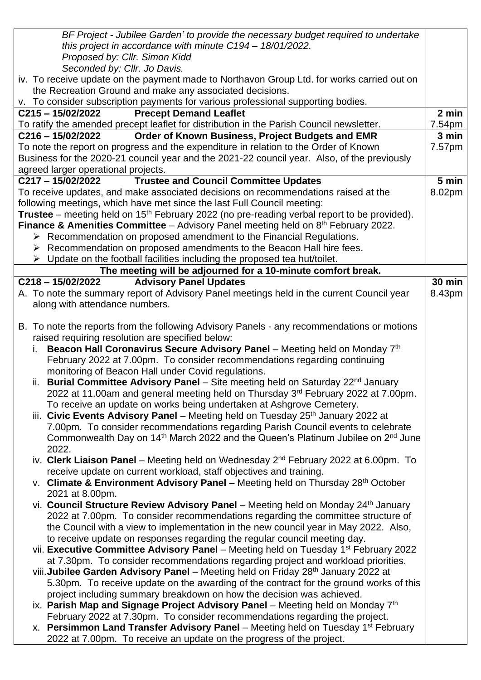| this project in accordance with minute C194 - 18/01/2022.<br>Proposed by: Cllr. Simon Kidd<br>Seconded by: Cllr. Jo Davis.<br>iv. To receive update on the payment made to Northavon Group Ltd. for works carried out on<br>the Recreation Ground and make any associated decisions.<br>v. To consider subscription payments for various professional supporting bodies.<br>$C215 - 15/02/2022$<br><b>Precept Demand Leaflet</b><br>2 min<br>To ratify the amended precept leaflet for distribution in the Parish Council newsletter.<br>7.54pm<br>3 min<br>$C216 - 15/02/2022$<br>Order of Known Business, Project Budgets and EMR<br>To note the report on progress and the expenditure in relation to the Order of Known<br>7.57pm<br>Business for the 2020-21 council year and the 2021-22 council year. Also, of the previously<br>agreed larger operational projects.<br><b>Trustee and Council Committee Updates</b><br>C217-15/02/2022<br>5 min<br>To receive updates, and make associated decisions on recommendations raised at the<br>8.02pm<br>following meetings, which have met since the last Full Council meeting:<br><b>Trustee</b> – meeting held on 15 <sup>th</sup> February 2022 (no pre-reading verbal report to be provided).<br><b>Finance &amp; Amenities Committee</b> – Advisory Panel meeting held on $8th$ February 2022.<br>$\triangleright$ Recommendation on proposed amendment to the Financial Regulations.<br>$\triangleright$ Recommendation on proposed amendments to the Beacon Hall hire fees.<br>$\triangleright$ Update on the football facilities including the proposed tea hut/toilet.<br>The meeting will be adjourned for a 10-minute comfort break.<br><b>Advisory Panel Updates</b><br><b>30 min</b><br>$C218 - 15/02/2022$<br>A. To note the summary report of Advisory Panel meetings held in the current Council year<br>8.43pm<br>along with attendance numbers.<br>B. To note the reports from the following Advisory Panels - any recommendations or motions<br>raised requiring resolution are specified below:<br>i. Beacon Hall Coronavirus Secure Advisory Panel – Meeting held on Monday $7th$<br>February 2022 at 7.00pm. To consider recommendations regarding continuing<br>monitoring of Beacon Hall under Covid regulations.<br>ii. Burial Committee Advisory Panel – Site meeting held on Saturday $22^{nd}$ January<br>2022 at 11.00am and general meeting held on Thursday 3 <sup>rd</sup> February 2022 at 7.00pm.<br>To receive an update on works being undertaken at Ashgrove Cemetery.<br>iii. Civic Events Advisory Panel - Meeting held on Tuesday 25 <sup>th</sup> January 2022 at<br>7.00pm. To consider recommendations regarding Parish Council events to celebrate<br>Commonwealth Day on 14 <sup>th</sup> March 2022 and the Queen's Platinum Jubilee on 2 <sup>nd</sup> June<br>2022.<br>iv. Clerk Liaison Panel – Meeting held on Wednesday $2^{nd}$ February 2022 at 6.00pm. To<br>receive update on current workload, staff objectives and training.<br>v. Climate & Environment Advisory Panel – Meeting held on Thursday $28th$ October<br>2021 at 8.00pm.<br>vi. Council Structure Review Advisory Panel - Meeting held on Monday 24 <sup>th</sup> January<br>2022 at 7.00pm. To consider recommendations regarding the committee structure of<br>the Council with a view to implementation in the new council year in May 2022. Also,<br>to receive update on responses regarding the regular council meeting day.<br>vii. Executive Committee Advisory Panel - Meeting held on Tuesday 1 <sup>st</sup> February 2022<br>at 7.30pm. To consider recommendations regarding project and workload priorities.<br>viii. Jubilee Garden Advisory Panel - Meeting held on Friday 28 <sup>th</sup> January 2022 at<br>5.30pm. To receive update on the awarding of the contract for the ground works of this<br>project including summary breakdown on how the decision was achieved.<br>ix. Parish Map and Signage Project Advisory Panel - Meeting held on Monday 7th<br>February 2022 at 7.30pm. To consider recommendations regarding the project.<br>x. Persimmon Land Transfer Advisory Panel – Meeting held on Tuesday 1 <sup>st</sup> February<br>2022 at 7.00pm. To receive an update on the progress of the project. | BF Project - Jubilee Garden' to provide the necessary budget required to undertake |  |
|-----------------------------------------------------------------------------------------------------------------------------------------------------------------------------------------------------------------------------------------------------------------------------------------------------------------------------------------------------------------------------------------------------------------------------------------------------------------------------------------------------------------------------------------------------------------------------------------------------------------------------------------------------------------------------------------------------------------------------------------------------------------------------------------------------------------------------------------------------------------------------------------------------------------------------------------------------------------------------------------------------------------------------------------------------------------------------------------------------------------------------------------------------------------------------------------------------------------------------------------------------------------------------------------------------------------------------------------------------------------------------------------------------------------------------------------------------------------------------------------------------------------------------------------------------------------------------------------------------------------------------------------------------------------------------------------------------------------------------------------------------------------------------------------------------------------------------------------------------------------------------------------------------------------------------------------------------------------------------------------------------------------------------------------------------------------------------------------------------------------------------------------------------------------------------------------------------------------------------------------------------------------------------------------------------------------------------------------------------------------------------------------------------------------------------------------------------------------------------------------------------------------------------------------------------------------------------------------------------------------------------------------------------------------------------------------------------------------------------------------------------------------------------------------------------------------------------------------------------------------------------------------------------------------------------------------------------------------------------------------------------------------------------------------------------------------------------------------------------------------------------------------------------------------------------------------------------------------------------------------------------------------------------------------------------------------------------------------------------------------------------------------------------------------------------------------------------------------------------------------------------------------------------------------------------------------------------------------------------------------------------------------------------------------------------------------------------------------------------------------------------------------------------------------------------------------------------------------------------------------------------------------------------------------------------------------------------------------------------------------------------------------------------------------------------------------------------------------------------------------------------------------------------------------------------------------------------------------------------------------------------------------------------------------------------------------|------------------------------------------------------------------------------------|--|
|                                                                                                                                                                                                                                                                                                                                                                                                                                                                                                                                                                                                                                                                                                                                                                                                                                                                                                                                                                                                                                                                                                                                                                                                                                                                                                                                                                                                                                                                                                                                                                                                                                                                                                                                                                                                                                                                                                                                                                                                                                                                                                                                                                                                                                                                                                                                                                                                                                                                                                                                                                                                                                                                                                                                                                                                                                                                                                                                                                                                                                                                                                                                                                                                                                                                                                                                                                                                                                                                                                                                                                                                                                                                                                                                                                                                                                                                                                                                                                                                                                                                                                                                                                                                                                                                                                                 |                                                                                    |  |
|                                                                                                                                                                                                                                                                                                                                                                                                                                                                                                                                                                                                                                                                                                                                                                                                                                                                                                                                                                                                                                                                                                                                                                                                                                                                                                                                                                                                                                                                                                                                                                                                                                                                                                                                                                                                                                                                                                                                                                                                                                                                                                                                                                                                                                                                                                                                                                                                                                                                                                                                                                                                                                                                                                                                                                                                                                                                                                                                                                                                                                                                                                                                                                                                                                                                                                                                                                                                                                                                                                                                                                                                                                                                                                                                                                                                                                                                                                                                                                                                                                                                                                                                                                                                                                                                                                                 |                                                                                    |  |
|                                                                                                                                                                                                                                                                                                                                                                                                                                                                                                                                                                                                                                                                                                                                                                                                                                                                                                                                                                                                                                                                                                                                                                                                                                                                                                                                                                                                                                                                                                                                                                                                                                                                                                                                                                                                                                                                                                                                                                                                                                                                                                                                                                                                                                                                                                                                                                                                                                                                                                                                                                                                                                                                                                                                                                                                                                                                                                                                                                                                                                                                                                                                                                                                                                                                                                                                                                                                                                                                                                                                                                                                                                                                                                                                                                                                                                                                                                                                                                                                                                                                                                                                                                                                                                                                                                                 |                                                                                    |  |
|                                                                                                                                                                                                                                                                                                                                                                                                                                                                                                                                                                                                                                                                                                                                                                                                                                                                                                                                                                                                                                                                                                                                                                                                                                                                                                                                                                                                                                                                                                                                                                                                                                                                                                                                                                                                                                                                                                                                                                                                                                                                                                                                                                                                                                                                                                                                                                                                                                                                                                                                                                                                                                                                                                                                                                                                                                                                                                                                                                                                                                                                                                                                                                                                                                                                                                                                                                                                                                                                                                                                                                                                                                                                                                                                                                                                                                                                                                                                                                                                                                                                                                                                                                                                                                                                                                                 |                                                                                    |  |
|                                                                                                                                                                                                                                                                                                                                                                                                                                                                                                                                                                                                                                                                                                                                                                                                                                                                                                                                                                                                                                                                                                                                                                                                                                                                                                                                                                                                                                                                                                                                                                                                                                                                                                                                                                                                                                                                                                                                                                                                                                                                                                                                                                                                                                                                                                                                                                                                                                                                                                                                                                                                                                                                                                                                                                                                                                                                                                                                                                                                                                                                                                                                                                                                                                                                                                                                                                                                                                                                                                                                                                                                                                                                                                                                                                                                                                                                                                                                                                                                                                                                                                                                                                                                                                                                                                                 |                                                                                    |  |
|                                                                                                                                                                                                                                                                                                                                                                                                                                                                                                                                                                                                                                                                                                                                                                                                                                                                                                                                                                                                                                                                                                                                                                                                                                                                                                                                                                                                                                                                                                                                                                                                                                                                                                                                                                                                                                                                                                                                                                                                                                                                                                                                                                                                                                                                                                                                                                                                                                                                                                                                                                                                                                                                                                                                                                                                                                                                                                                                                                                                                                                                                                                                                                                                                                                                                                                                                                                                                                                                                                                                                                                                                                                                                                                                                                                                                                                                                                                                                                                                                                                                                                                                                                                                                                                                                                                 |                                                                                    |  |
|                                                                                                                                                                                                                                                                                                                                                                                                                                                                                                                                                                                                                                                                                                                                                                                                                                                                                                                                                                                                                                                                                                                                                                                                                                                                                                                                                                                                                                                                                                                                                                                                                                                                                                                                                                                                                                                                                                                                                                                                                                                                                                                                                                                                                                                                                                                                                                                                                                                                                                                                                                                                                                                                                                                                                                                                                                                                                                                                                                                                                                                                                                                                                                                                                                                                                                                                                                                                                                                                                                                                                                                                                                                                                                                                                                                                                                                                                                                                                                                                                                                                                                                                                                                                                                                                                                                 |                                                                                    |  |
|                                                                                                                                                                                                                                                                                                                                                                                                                                                                                                                                                                                                                                                                                                                                                                                                                                                                                                                                                                                                                                                                                                                                                                                                                                                                                                                                                                                                                                                                                                                                                                                                                                                                                                                                                                                                                                                                                                                                                                                                                                                                                                                                                                                                                                                                                                                                                                                                                                                                                                                                                                                                                                                                                                                                                                                                                                                                                                                                                                                                                                                                                                                                                                                                                                                                                                                                                                                                                                                                                                                                                                                                                                                                                                                                                                                                                                                                                                                                                                                                                                                                                                                                                                                                                                                                                                                 |                                                                                    |  |
|                                                                                                                                                                                                                                                                                                                                                                                                                                                                                                                                                                                                                                                                                                                                                                                                                                                                                                                                                                                                                                                                                                                                                                                                                                                                                                                                                                                                                                                                                                                                                                                                                                                                                                                                                                                                                                                                                                                                                                                                                                                                                                                                                                                                                                                                                                                                                                                                                                                                                                                                                                                                                                                                                                                                                                                                                                                                                                                                                                                                                                                                                                                                                                                                                                                                                                                                                                                                                                                                                                                                                                                                                                                                                                                                                                                                                                                                                                                                                                                                                                                                                                                                                                                                                                                                                                                 |                                                                                    |  |
|                                                                                                                                                                                                                                                                                                                                                                                                                                                                                                                                                                                                                                                                                                                                                                                                                                                                                                                                                                                                                                                                                                                                                                                                                                                                                                                                                                                                                                                                                                                                                                                                                                                                                                                                                                                                                                                                                                                                                                                                                                                                                                                                                                                                                                                                                                                                                                                                                                                                                                                                                                                                                                                                                                                                                                                                                                                                                                                                                                                                                                                                                                                                                                                                                                                                                                                                                                                                                                                                                                                                                                                                                                                                                                                                                                                                                                                                                                                                                                                                                                                                                                                                                                                                                                                                                                                 |                                                                                    |  |
|                                                                                                                                                                                                                                                                                                                                                                                                                                                                                                                                                                                                                                                                                                                                                                                                                                                                                                                                                                                                                                                                                                                                                                                                                                                                                                                                                                                                                                                                                                                                                                                                                                                                                                                                                                                                                                                                                                                                                                                                                                                                                                                                                                                                                                                                                                                                                                                                                                                                                                                                                                                                                                                                                                                                                                                                                                                                                                                                                                                                                                                                                                                                                                                                                                                                                                                                                                                                                                                                                                                                                                                                                                                                                                                                                                                                                                                                                                                                                                                                                                                                                                                                                                                                                                                                                                                 |                                                                                    |  |
|                                                                                                                                                                                                                                                                                                                                                                                                                                                                                                                                                                                                                                                                                                                                                                                                                                                                                                                                                                                                                                                                                                                                                                                                                                                                                                                                                                                                                                                                                                                                                                                                                                                                                                                                                                                                                                                                                                                                                                                                                                                                                                                                                                                                                                                                                                                                                                                                                                                                                                                                                                                                                                                                                                                                                                                                                                                                                                                                                                                                                                                                                                                                                                                                                                                                                                                                                                                                                                                                                                                                                                                                                                                                                                                                                                                                                                                                                                                                                                                                                                                                                                                                                                                                                                                                                                                 |                                                                                    |  |
|                                                                                                                                                                                                                                                                                                                                                                                                                                                                                                                                                                                                                                                                                                                                                                                                                                                                                                                                                                                                                                                                                                                                                                                                                                                                                                                                                                                                                                                                                                                                                                                                                                                                                                                                                                                                                                                                                                                                                                                                                                                                                                                                                                                                                                                                                                                                                                                                                                                                                                                                                                                                                                                                                                                                                                                                                                                                                                                                                                                                                                                                                                                                                                                                                                                                                                                                                                                                                                                                                                                                                                                                                                                                                                                                                                                                                                                                                                                                                                                                                                                                                                                                                                                                                                                                                                                 |                                                                                    |  |
|                                                                                                                                                                                                                                                                                                                                                                                                                                                                                                                                                                                                                                                                                                                                                                                                                                                                                                                                                                                                                                                                                                                                                                                                                                                                                                                                                                                                                                                                                                                                                                                                                                                                                                                                                                                                                                                                                                                                                                                                                                                                                                                                                                                                                                                                                                                                                                                                                                                                                                                                                                                                                                                                                                                                                                                                                                                                                                                                                                                                                                                                                                                                                                                                                                                                                                                                                                                                                                                                                                                                                                                                                                                                                                                                                                                                                                                                                                                                                                                                                                                                                                                                                                                                                                                                                                                 |                                                                                    |  |
|                                                                                                                                                                                                                                                                                                                                                                                                                                                                                                                                                                                                                                                                                                                                                                                                                                                                                                                                                                                                                                                                                                                                                                                                                                                                                                                                                                                                                                                                                                                                                                                                                                                                                                                                                                                                                                                                                                                                                                                                                                                                                                                                                                                                                                                                                                                                                                                                                                                                                                                                                                                                                                                                                                                                                                                                                                                                                                                                                                                                                                                                                                                                                                                                                                                                                                                                                                                                                                                                                                                                                                                                                                                                                                                                                                                                                                                                                                                                                                                                                                                                                                                                                                                                                                                                                                                 |                                                                                    |  |
|                                                                                                                                                                                                                                                                                                                                                                                                                                                                                                                                                                                                                                                                                                                                                                                                                                                                                                                                                                                                                                                                                                                                                                                                                                                                                                                                                                                                                                                                                                                                                                                                                                                                                                                                                                                                                                                                                                                                                                                                                                                                                                                                                                                                                                                                                                                                                                                                                                                                                                                                                                                                                                                                                                                                                                                                                                                                                                                                                                                                                                                                                                                                                                                                                                                                                                                                                                                                                                                                                                                                                                                                                                                                                                                                                                                                                                                                                                                                                                                                                                                                                                                                                                                                                                                                                                                 |                                                                                    |  |
|                                                                                                                                                                                                                                                                                                                                                                                                                                                                                                                                                                                                                                                                                                                                                                                                                                                                                                                                                                                                                                                                                                                                                                                                                                                                                                                                                                                                                                                                                                                                                                                                                                                                                                                                                                                                                                                                                                                                                                                                                                                                                                                                                                                                                                                                                                                                                                                                                                                                                                                                                                                                                                                                                                                                                                                                                                                                                                                                                                                                                                                                                                                                                                                                                                                                                                                                                                                                                                                                                                                                                                                                                                                                                                                                                                                                                                                                                                                                                                                                                                                                                                                                                                                                                                                                                                                 |                                                                                    |  |
|                                                                                                                                                                                                                                                                                                                                                                                                                                                                                                                                                                                                                                                                                                                                                                                                                                                                                                                                                                                                                                                                                                                                                                                                                                                                                                                                                                                                                                                                                                                                                                                                                                                                                                                                                                                                                                                                                                                                                                                                                                                                                                                                                                                                                                                                                                                                                                                                                                                                                                                                                                                                                                                                                                                                                                                                                                                                                                                                                                                                                                                                                                                                                                                                                                                                                                                                                                                                                                                                                                                                                                                                                                                                                                                                                                                                                                                                                                                                                                                                                                                                                                                                                                                                                                                                                                                 |                                                                                    |  |
|                                                                                                                                                                                                                                                                                                                                                                                                                                                                                                                                                                                                                                                                                                                                                                                                                                                                                                                                                                                                                                                                                                                                                                                                                                                                                                                                                                                                                                                                                                                                                                                                                                                                                                                                                                                                                                                                                                                                                                                                                                                                                                                                                                                                                                                                                                                                                                                                                                                                                                                                                                                                                                                                                                                                                                                                                                                                                                                                                                                                                                                                                                                                                                                                                                                                                                                                                                                                                                                                                                                                                                                                                                                                                                                                                                                                                                                                                                                                                                                                                                                                                                                                                                                                                                                                                                                 |                                                                                    |  |
|                                                                                                                                                                                                                                                                                                                                                                                                                                                                                                                                                                                                                                                                                                                                                                                                                                                                                                                                                                                                                                                                                                                                                                                                                                                                                                                                                                                                                                                                                                                                                                                                                                                                                                                                                                                                                                                                                                                                                                                                                                                                                                                                                                                                                                                                                                                                                                                                                                                                                                                                                                                                                                                                                                                                                                                                                                                                                                                                                                                                                                                                                                                                                                                                                                                                                                                                                                                                                                                                                                                                                                                                                                                                                                                                                                                                                                                                                                                                                                                                                                                                                                                                                                                                                                                                                                                 |                                                                                    |  |
|                                                                                                                                                                                                                                                                                                                                                                                                                                                                                                                                                                                                                                                                                                                                                                                                                                                                                                                                                                                                                                                                                                                                                                                                                                                                                                                                                                                                                                                                                                                                                                                                                                                                                                                                                                                                                                                                                                                                                                                                                                                                                                                                                                                                                                                                                                                                                                                                                                                                                                                                                                                                                                                                                                                                                                                                                                                                                                                                                                                                                                                                                                                                                                                                                                                                                                                                                                                                                                                                                                                                                                                                                                                                                                                                                                                                                                                                                                                                                                                                                                                                                                                                                                                                                                                                                                                 |                                                                                    |  |
|                                                                                                                                                                                                                                                                                                                                                                                                                                                                                                                                                                                                                                                                                                                                                                                                                                                                                                                                                                                                                                                                                                                                                                                                                                                                                                                                                                                                                                                                                                                                                                                                                                                                                                                                                                                                                                                                                                                                                                                                                                                                                                                                                                                                                                                                                                                                                                                                                                                                                                                                                                                                                                                                                                                                                                                                                                                                                                                                                                                                                                                                                                                                                                                                                                                                                                                                                                                                                                                                                                                                                                                                                                                                                                                                                                                                                                                                                                                                                                                                                                                                                                                                                                                                                                                                                                                 |                                                                                    |  |
|                                                                                                                                                                                                                                                                                                                                                                                                                                                                                                                                                                                                                                                                                                                                                                                                                                                                                                                                                                                                                                                                                                                                                                                                                                                                                                                                                                                                                                                                                                                                                                                                                                                                                                                                                                                                                                                                                                                                                                                                                                                                                                                                                                                                                                                                                                                                                                                                                                                                                                                                                                                                                                                                                                                                                                                                                                                                                                                                                                                                                                                                                                                                                                                                                                                                                                                                                                                                                                                                                                                                                                                                                                                                                                                                                                                                                                                                                                                                                                                                                                                                                                                                                                                                                                                                                                                 |                                                                                    |  |
|                                                                                                                                                                                                                                                                                                                                                                                                                                                                                                                                                                                                                                                                                                                                                                                                                                                                                                                                                                                                                                                                                                                                                                                                                                                                                                                                                                                                                                                                                                                                                                                                                                                                                                                                                                                                                                                                                                                                                                                                                                                                                                                                                                                                                                                                                                                                                                                                                                                                                                                                                                                                                                                                                                                                                                                                                                                                                                                                                                                                                                                                                                                                                                                                                                                                                                                                                                                                                                                                                                                                                                                                                                                                                                                                                                                                                                                                                                                                                                                                                                                                                                                                                                                                                                                                                                                 |                                                                                    |  |
|                                                                                                                                                                                                                                                                                                                                                                                                                                                                                                                                                                                                                                                                                                                                                                                                                                                                                                                                                                                                                                                                                                                                                                                                                                                                                                                                                                                                                                                                                                                                                                                                                                                                                                                                                                                                                                                                                                                                                                                                                                                                                                                                                                                                                                                                                                                                                                                                                                                                                                                                                                                                                                                                                                                                                                                                                                                                                                                                                                                                                                                                                                                                                                                                                                                                                                                                                                                                                                                                                                                                                                                                                                                                                                                                                                                                                                                                                                                                                                                                                                                                                                                                                                                                                                                                                                                 |                                                                                    |  |
|                                                                                                                                                                                                                                                                                                                                                                                                                                                                                                                                                                                                                                                                                                                                                                                                                                                                                                                                                                                                                                                                                                                                                                                                                                                                                                                                                                                                                                                                                                                                                                                                                                                                                                                                                                                                                                                                                                                                                                                                                                                                                                                                                                                                                                                                                                                                                                                                                                                                                                                                                                                                                                                                                                                                                                                                                                                                                                                                                                                                                                                                                                                                                                                                                                                                                                                                                                                                                                                                                                                                                                                                                                                                                                                                                                                                                                                                                                                                                                                                                                                                                                                                                                                                                                                                                                                 |                                                                                    |  |
|                                                                                                                                                                                                                                                                                                                                                                                                                                                                                                                                                                                                                                                                                                                                                                                                                                                                                                                                                                                                                                                                                                                                                                                                                                                                                                                                                                                                                                                                                                                                                                                                                                                                                                                                                                                                                                                                                                                                                                                                                                                                                                                                                                                                                                                                                                                                                                                                                                                                                                                                                                                                                                                                                                                                                                                                                                                                                                                                                                                                                                                                                                                                                                                                                                                                                                                                                                                                                                                                                                                                                                                                                                                                                                                                                                                                                                                                                                                                                                                                                                                                                                                                                                                                                                                                                                                 |                                                                                    |  |
|                                                                                                                                                                                                                                                                                                                                                                                                                                                                                                                                                                                                                                                                                                                                                                                                                                                                                                                                                                                                                                                                                                                                                                                                                                                                                                                                                                                                                                                                                                                                                                                                                                                                                                                                                                                                                                                                                                                                                                                                                                                                                                                                                                                                                                                                                                                                                                                                                                                                                                                                                                                                                                                                                                                                                                                                                                                                                                                                                                                                                                                                                                                                                                                                                                                                                                                                                                                                                                                                                                                                                                                                                                                                                                                                                                                                                                                                                                                                                                                                                                                                                                                                                                                                                                                                                                                 |                                                                                    |  |
|                                                                                                                                                                                                                                                                                                                                                                                                                                                                                                                                                                                                                                                                                                                                                                                                                                                                                                                                                                                                                                                                                                                                                                                                                                                                                                                                                                                                                                                                                                                                                                                                                                                                                                                                                                                                                                                                                                                                                                                                                                                                                                                                                                                                                                                                                                                                                                                                                                                                                                                                                                                                                                                                                                                                                                                                                                                                                                                                                                                                                                                                                                                                                                                                                                                                                                                                                                                                                                                                                                                                                                                                                                                                                                                                                                                                                                                                                                                                                                                                                                                                                                                                                                                                                                                                                                                 |                                                                                    |  |
|                                                                                                                                                                                                                                                                                                                                                                                                                                                                                                                                                                                                                                                                                                                                                                                                                                                                                                                                                                                                                                                                                                                                                                                                                                                                                                                                                                                                                                                                                                                                                                                                                                                                                                                                                                                                                                                                                                                                                                                                                                                                                                                                                                                                                                                                                                                                                                                                                                                                                                                                                                                                                                                                                                                                                                                                                                                                                                                                                                                                                                                                                                                                                                                                                                                                                                                                                                                                                                                                                                                                                                                                                                                                                                                                                                                                                                                                                                                                                                                                                                                                                                                                                                                                                                                                                                                 |                                                                                    |  |
|                                                                                                                                                                                                                                                                                                                                                                                                                                                                                                                                                                                                                                                                                                                                                                                                                                                                                                                                                                                                                                                                                                                                                                                                                                                                                                                                                                                                                                                                                                                                                                                                                                                                                                                                                                                                                                                                                                                                                                                                                                                                                                                                                                                                                                                                                                                                                                                                                                                                                                                                                                                                                                                                                                                                                                                                                                                                                                                                                                                                                                                                                                                                                                                                                                                                                                                                                                                                                                                                                                                                                                                                                                                                                                                                                                                                                                                                                                                                                                                                                                                                                                                                                                                                                                                                                                                 |                                                                                    |  |
|                                                                                                                                                                                                                                                                                                                                                                                                                                                                                                                                                                                                                                                                                                                                                                                                                                                                                                                                                                                                                                                                                                                                                                                                                                                                                                                                                                                                                                                                                                                                                                                                                                                                                                                                                                                                                                                                                                                                                                                                                                                                                                                                                                                                                                                                                                                                                                                                                                                                                                                                                                                                                                                                                                                                                                                                                                                                                                                                                                                                                                                                                                                                                                                                                                                                                                                                                                                                                                                                                                                                                                                                                                                                                                                                                                                                                                                                                                                                                                                                                                                                                                                                                                                                                                                                                                                 |                                                                                    |  |
|                                                                                                                                                                                                                                                                                                                                                                                                                                                                                                                                                                                                                                                                                                                                                                                                                                                                                                                                                                                                                                                                                                                                                                                                                                                                                                                                                                                                                                                                                                                                                                                                                                                                                                                                                                                                                                                                                                                                                                                                                                                                                                                                                                                                                                                                                                                                                                                                                                                                                                                                                                                                                                                                                                                                                                                                                                                                                                                                                                                                                                                                                                                                                                                                                                                                                                                                                                                                                                                                                                                                                                                                                                                                                                                                                                                                                                                                                                                                                                                                                                                                                                                                                                                                                                                                                                                 |                                                                                    |  |
|                                                                                                                                                                                                                                                                                                                                                                                                                                                                                                                                                                                                                                                                                                                                                                                                                                                                                                                                                                                                                                                                                                                                                                                                                                                                                                                                                                                                                                                                                                                                                                                                                                                                                                                                                                                                                                                                                                                                                                                                                                                                                                                                                                                                                                                                                                                                                                                                                                                                                                                                                                                                                                                                                                                                                                                                                                                                                                                                                                                                                                                                                                                                                                                                                                                                                                                                                                                                                                                                                                                                                                                                                                                                                                                                                                                                                                                                                                                                                                                                                                                                                                                                                                                                                                                                                                                 |                                                                                    |  |
|                                                                                                                                                                                                                                                                                                                                                                                                                                                                                                                                                                                                                                                                                                                                                                                                                                                                                                                                                                                                                                                                                                                                                                                                                                                                                                                                                                                                                                                                                                                                                                                                                                                                                                                                                                                                                                                                                                                                                                                                                                                                                                                                                                                                                                                                                                                                                                                                                                                                                                                                                                                                                                                                                                                                                                                                                                                                                                                                                                                                                                                                                                                                                                                                                                                                                                                                                                                                                                                                                                                                                                                                                                                                                                                                                                                                                                                                                                                                                                                                                                                                                                                                                                                                                                                                                                                 |                                                                                    |  |
|                                                                                                                                                                                                                                                                                                                                                                                                                                                                                                                                                                                                                                                                                                                                                                                                                                                                                                                                                                                                                                                                                                                                                                                                                                                                                                                                                                                                                                                                                                                                                                                                                                                                                                                                                                                                                                                                                                                                                                                                                                                                                                                                                                                                                                                                                                                                                                                                                                                                                                                                                                                                                                                                                                                                                                                                                                                                                                                                                                                                                                                                                                                                                                                                                                                                                                                                                                                                                                                                                                                                                                                                                                                                                                                                                                                                                                                                                                                                                                                                                                                                                                                                                                                                                                                                                                                 |                                                                                    |  |
|                                                                                                                                                                                                                                                                                                                                                                                                                                                                                                                                                                                                                                                                                                                                                                                                                                                                                                                                                                                                                                                                                                                                                                                                                                                                                                                                                                                                                                                                                                                                                                                                                                                                                                                                                                                                                                                                                                                                                                                                                                                                                                                                                                                                                                                                                                                                                                                                                                                                                                                                                                                                                                                                                                                                                                                                                                                                                                                                                                                                                                                                                                                                                                                                                                                                                                                                                                                                                                                                                                                                                                                                                                                                                                                                                                                                                                                                                                                                                                                                                                                                                                                                                                                                                                                                                                                 |                                                                                    |  |
|                                                                                                                                                                                                                                                                                                                                                                                                                                                                                                                                                                                                                                                                                                                                                                                                                                                                                                                                                                                                                                                                                                                                                                                                                                                                                                                                                                                                                                                                                                                                                                                                                                                                                                                                                                                                                                                                                                                                                                                                                                                                                                                                                                                                                                                                                                                                                                                                                                                                                                                                                                                                                                                                                                                                                                                                                                                                                                                                                                                                                                                                                                                                                                                                                                                                                                                                                                                                                                                                                                                                                                                                                                                                                                                                                                                                                                                                                                                                                                                                                                                                                                                                                                                                                                                                                                                 |                                                                                    |  |
|                                                                                                                                                                                                                                                                                                                                                                                                                                                                                                                                                                                                                                                                                                                                                                                                                                                                                                                                                                                                                                                                                                                                                                                                                                                                                                                                                                                                                                                                                                                                                                                                                                                                                                                                                                                                                                                                                                                                                                                                                                                                                                                                                                                                                                                                                                                                                                                                                                                                                                                                                                                                                                                                                                                                                                                                                                                                                                                                                                                                                                                                                                                                                                                                                                                                                                                                                                                                                                                                                                                                                                                                                                                                                                                                                                                                                                                                                                                                                                                                                                                                                                                                                                                                                                                                                                                 |                                                                                    |  |
|                                                                                                                                                                                                                                                                                                                                                                                                                                                                                                                                                                                                                                                                                                                                                                                                                                                                                                                                                                                                                                                                                                                                                                                                                                                                                                                                                                                                                                                                                                                                                                                                                                                                                                                                                                                                                                                                                                                                                                                                                                                                                                                                                                                                                                                                                                                                                                                                                                                                                                                                                                                                                                                                                                                                                                                                                                                                                                                                                                                                                                                                                                                                                                                                                                                                                                                                                                                                                                                                                                                                                                                                                                                                                                                                                                                                                                                                                                                                                                                                                                                                                                                                                                                                                                                                                                                 |                                                                                    |  |
|                                                                                                                                                                                                                                                                                                                                                                                                                                                                                                                                                                                                                                                                                                                                                                                                                                                                                                                                                                                                                                                                                                                                                                                                                                                                                                                                                                                                                                                                                                                                                                                                                                                                                                                                                                                                                                                                                                                                                                                                                                                                                                                                                                                                                                                                                                                                                                                                                                                                                                                                                                                                                                                                                                                                                                                                                                                                                                                                                                                                                                                                                                                                                                                                                                                                                                                                                                                                                                                                                                                                                                                                                                                                                                                                                                                                                                                                                                                                                                                                                                                                                                                                                                                                                                                                                                                 |                                                                                    |  |
|                                                                                                                                                                                                                                                                                                                                                                                                                                                                                                                                                                                                                                                                                                                                                                                                                                                                                                                                                                                                                                                                                                                                                                                                                                                                                                                                                                                                                                                                                                                                                                                                                                                                                                                                                                                                                                                                                                                                                                                                                                                                                                                                                                                                                                                                                                                                                                                                                                                                                                                                                                                                                                                                                                                                                                                                                                                                                                                                                                                                                                                                                                                                                                                                                                                                                                                                                                                                                                                                                                                                                                                                                                                                                                                                                                                                                                                                                                                                                                                                                                                                                                                                                                                                                                                                                                                 |                                                                                    |  |
|                                                                                                                                                                                                                                                                                                                                                                                                                                                                                                                                                                                                                                                                                                                                                                                                                                                                                                                                                                                                                                                                                                                                                                                                                                                                                                                                                                                                                                                                                                                                                                                                                                                                                                                                                                                                                                                                                                                                                                                                                                                                                                                                                                                                                                                                                                                                                                                                                                                                                                                                                                                                                                                                                                                                                                                                                                                                                                                                                                                                                                                                                                                                                                                                                                                                                                                                                                                                                                                                                                                                                                                                                                                                                                                                                                                                                                                                                                                                                                                                                                                                                                                                                                                                                                                                                                                 |                                                                                    |  |
|                                                                                                                                                                                                                                                                                                                                                                                                                                                                                                                                                                                                                                                                                                                                                                                                                                                                                                                                                                                                                                                                                                                                                                                                                                                                                                                                                                                                                                                                                                                                                                                                                                                                                                                                                                                                                                                                                                                                                                                                                                                                                                                                                                                                                                                                                                                                                                                                                                                                                                                                                                                                                                                                                                                                                                                                                                                                                                                                                                                                                                                                                                                                                                                                                                                                                                                                                                                                                                                                                                                                                                                                                                                                                                                                                                                                                                                                                                                                                                                                                                                                                                                                                                                                                                                                                                                 |                                                                                    |  |
|                                                                                                                                                                                                                                                                                                                                                                                                                                                                                                                                                                                                                                                                                                                                                                                                                                                                                                                                                                                                                                                                                                                                                                                                                                                                                                                                                                                                                                                                                                                                                                                                                                                                                                                                                                                                                                                                                                                                                                                                                                                                                                                                                                                                                                                                                                                                                                                                                                                                                                                                                                                                                                                                                                                                                                                                                                                                                                                                                                                                                                                                                                                                                                                                                                                                                                                                                                                                                                                                                                                                                                                                                                                                                                                                                                                                                                                                                                                                                                                                                                                                                                                                                                                                                                                                                                                 |                                                                                    |  |
|                                                                                                                                                                                                                                                                                                                                                                                                                                                                                                                                                                                                                                                                                                                                                                                                                                                                                                                                                                                                                                                                                                                                                                                                                                                                                                                                                                                                                                                                                                                                                                                                                                                                                                                                                                                                                                                                                                                                                                                                                                                                                                                                                                                                                                                                                                                                                                                                                                                                                                                                                                                                                                                                                                                                                                                                                                                                                                                                                                                                                                                                                                                                                                                                                                                                                                                                                                                                                                                                                                                                                                                                                                                                                                                                                                                                                                                                                                                                                                                                                                                                                                                                                                                                                                                                                                                 |                                                                                    |  |
|                                                                                                                                                                                                                                                                                                                                                                                                                                                                                                                                                                                                                                                                                                                                                                                                                                                                                                                                                                                                                                                                                                                                                                                                                                                                                                                                                                                                                                                                                                                                                                                                                                                                                                                                                                                                                                                                                                                                                                                                                                                                                                                                                                                                                                                                                                                                                                                                                                                                                                                                                                                                                                                                                                                                                                                                                                                                                                                                                                                                                                                                                                                                                                                                                                                                                                                                                                                                                                                                                                                                                                                                                                                                                                                                                                                                                                                                                                                                                                                                                                                                                                                                                                                                                                                                                                                 |                                                                                    |  |
|                                                                                                                                                                                                                                                                                                                                                                                                                                                                                                                                                                                                                                                                                                                                                                                                                                                                                                                                                                                                                                                                                                                                                                                                                                                                                                                                                                                                                                                                                                                                                                                                                                                                                                                                                                                                                                                                                                                                                                                                                                                                                                                                                                                                                                                                                                                                                                                                                                                                                                                                                                                                                                                                                                                                                                                                                                                                                                                                                                                                                                                                                                                                                                                                                                                                                                                                                                                                                                                                                                                                                                                                                                                                                                                                                                                                                                                                                                                                                                                                                                                                                                                                                                                                                                                                                                                 |                                                                                    |  |
|                                                                                                                                                                                                                                                                                                                                                                                                                                                                                                                                                                                                                                                                                                                                                                                                                                                                                                                                                                                                                                                                                                                                                                                                                                                                                                                                                                                                                                                                                                                                                                                                                                                                                                                                                                                                                                                                                                                                                                                                                                                                                                                                                                                                                                                                                                                                                                                                                                                                                                                                                                                                                                                                                                                                                                                                                                                                                                                                                                                                                                                                                                                                                                                                                                                                                                                                                                                                                                                                                                                                                                                                                                                                                                                                                                                                                                                                                                                                                                                                                                                                                                                                                                                                                                                                                                                 |                                                                                    |  |
|                                                                                                                                                                                                                                                                                                                                                                                                                                                                                                                                                                                                                                                                                                                                                                                                                                                                                                                                                                                                                                                                                                                                                                                                                                                                                                                                                                                                                                                                                                                                                                                                                                                                                                                                                                                                                                                                                                                                                                                                                                                                                                                                                                                                                                                                                                                                                                                                                                                                                                                                                                                                                                                                                                                                                                                                                                                                                                                                                                                                                                                                                                                                                                                                                                                                                                                                                                                                                                                                                                                                                                                                                                                                                                                                                                                                                                                                                                                                                                                                                                                                                                                                                                                                                                                                                                                 |                                                                                    |  |
|                                                                                                                                                                                                                                                                                                                                                                                                                                                                                                                                                                                                                                                                                                                                                                                                                                                                                                                                                                                                                                                                                                                                                                                                                                                                                                                                                                                                                                                                                                                                                                                                                                                                                                                                                                                                                                                                                                                                                                                                                                                                                                                                                                                                                                                                                                                                                                                                                                                                                                                                                                                                                                                                                                                                                                                                                                                                                                                                                                                                                                                                                                                                                                                                                                                                                                                                                                                                                                                                                                                                                                                                                                                                                                                                                                                                                                                                                                                                                                                                                                                                                                                                                                                                                                                                                                                 |                                                                                    |  |